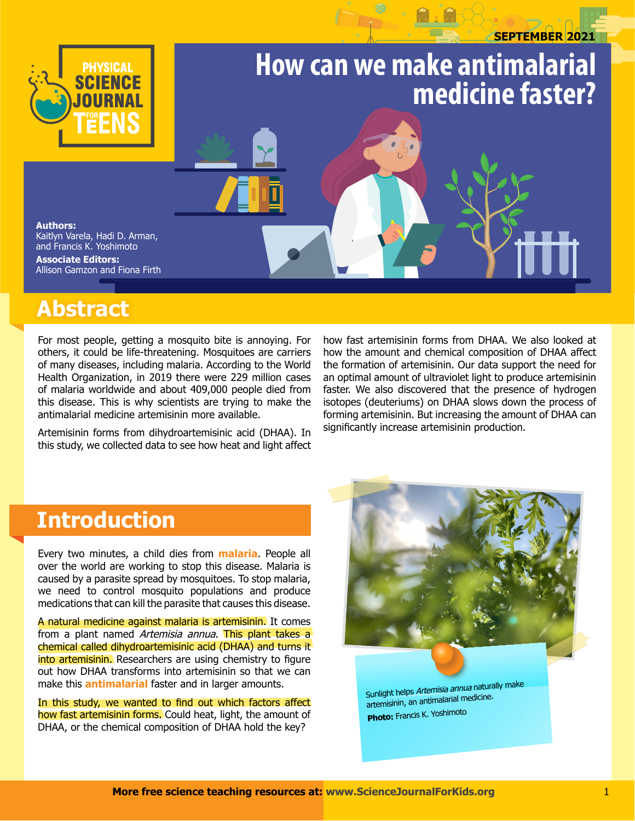# **september 2021 How can we make antimalarial medicine faster? Authors:** Kaitlyn Varela, Hadi D. Arman, and Francis K. Yoshimoto

**Associate editors:**  Allison Gamzon and Fiona Firth

## **Abstract**

For most people, getting a mosquito bite is annoying. For others, it could be life-threatening. Mosquitoes are carriers of many diseases, including malaria. According to the World Health Organization, in 2019 there were 229 million cases of malaria worldwide and about 409,000 people died from this disease. This is why scientists are trying to make the antimalarial medicine artemisinin more available.

Artemisinin forms from dihydroartemisinic acid (DHAA). In this study, we collected data to see how heat and light affect how fast artemisinin forms from DHAA. We also looked at how the amount and chemical composition of DHAA affect the formation of artemisinin. Our data support the need for an optimal amount of ultraviolet light to produce artemisinin faster. We also discovered that the presence of hydrogen isotopes (deuteriums) on DHAA slows down the process of forming artemisinin. But increasing the amount of DHAA can significantly increase artemisinin production.

### **Introduction**

Every two minutes, a child dies from **malaria**. People all over the world are working to stop this disease. Malaria is caused by a parasite spread by mosquitoes. To stop malaria, we need to control mosquito populations and produce medications that can kill the parasite that causes this disease.

A natural medicine against malaria is artemisinin. It comes from a plant named Artemisia annua. This plant takes a chemical called dihydroartemisinic acid (DHAA) and turns it into artemisinin. Researchers are using chemistry to figure out how DHAA transforms into artemisinin so that we can make this **antimalarial** faster and in larger amounts.

In this study, we wanted to find out which factors affect how fast artemisinin forms. Could heat, light, the amount of DHAA, or the chemical composition of DHAA hold the key?



Sunlight helps Artemisia annua naturally make artemisinin, an antimalarial medicine. **Photo:** Francis K. Yoshimoto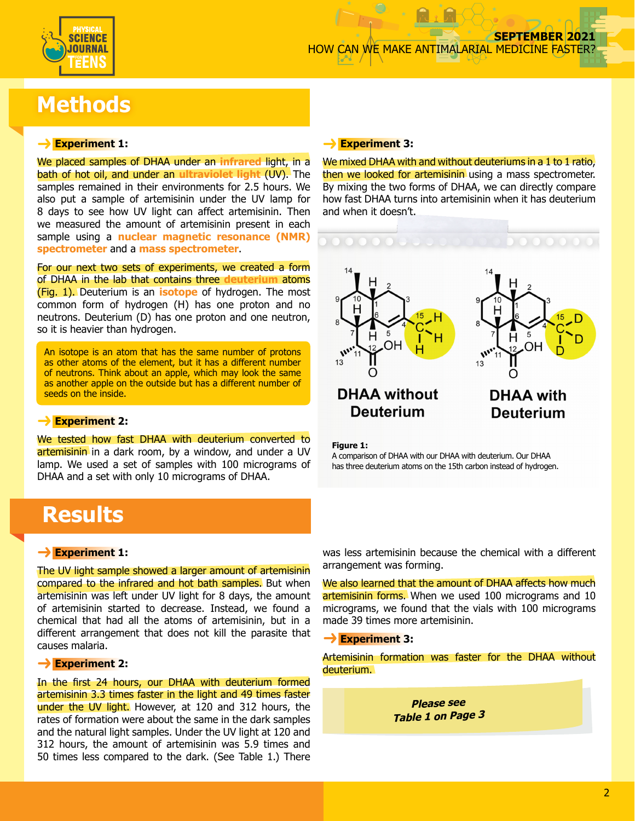

### **Methods**

#### **Experiment 1:**

We placed samples of DHAA under an **infrared** light, in a bath of hot oil, and under an **ultraviolet light** (UV). The samples remained in their environments for 2.5 hours. We also put a sample of artemisinin under the UV lamp for 8 days to see how UV light can affect artemisinin. Then we measured the amount of artemisinin present in each sample using a **nuclear magnetic resonance (NMR) spectrometer** and a **mass spectrometer**.

For our next two sets of experiments, we created a form of DHAA in the lab that contains three **deuterium** atoms (Fig. 1). Deuterium is an **isotope** of hydrogen. The most common form of hydrogen (H) has one proton and no neutrons. Deuterium (D) has one proton and one neutron, so it is heavier than hydrogen.

An isotope is an atom that has the same number of protons as other atoms of the element, but it has a different number of neutrons. Think about an apple, which may look the same as another apple on the outside but has a different number of seeds on the inside.

#### **Experiment 2:**

We tested how fast DHAA with deuterium converted to artemisinin in a dark room, by a window, and under a UV lamp. We used a set of samples with 100 micrograms of DHAA and a set with only 10 micrograms of DHAA.

### **Results**

#### **Experiment 1:**

The UV light sample showed a larger amount of artemisinin compared to the infrared and hot bath samples. But when artemisinin was left under UV light for 8 days, the amount of artemisinin started to decrease. Instead, we found a chemical that had all the atoms of artemisinin, but in a different arrangement that does not kill the parasite that causes malaria.

#### **Experiment 2:**

In the first 24 hours, our DHAA with deuterium formed artemisinin 3.3 times faster in the light and 49 times faster under the UV light. However, at 120 and 312 hours, the rates of formation were about the same in the dark samples and the natural light samples. Under the UV light at 120 and 312 hours, the amount of artemisinin was 5.9 times and 50 times less compared to the dark. (See Table 1.) There

#### **Experiment 3:**

We mixed DHAA with and without deuteriums in a 1 to 1 ratio. then we looked for artemisinin using a mass spectrometer. By mixing the two forms of DHAA, we can directly compare how fast DHAA turns into artemisinin when it has deuterium and when it doesn't.



**Figure 1:**

A comparison of DHAA with our DHAA with deuterium. Our DHAA has three deuterium atoms on the 15th carbon instead of hydrogen.

was less artemisinin because the chemical with a different arrangement was forming.

We also learned that the amount of DHAA affects how much artemisinin forms. When we used 100 micrograms and 10 micrograms, we found that the vials with 100 micrograms made 39 times more artemisinin.

**Experiment 3:**

Artemisinin formation was faster for the DHAA without deuterium.

> **Please see Table 1 on Page <sup>3</sup>**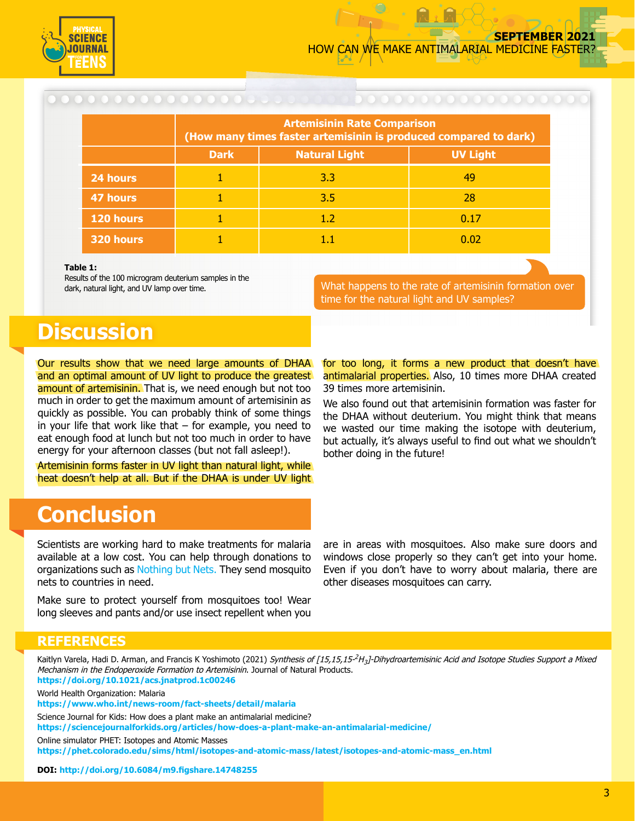

|           | <b>Artemisinin Rate Comparison</b><br>(How many times faster artemisinin is produced compared to dark) |                      |                 |
|-----------|--------------------------------------------------------------------------------------------------------|----------------------|-----------------|
|           | <b>Dark</b>                                                                                            | <b>Natural Light</b> | <b>UV Light</b> |
| 24 hours  |                                                                                                        | 3.3                  | 49              |
| 47 hours  |                                                                                                        | 3.5                  | 28              |
| 120 hours |                                                                                                        | 1.2                  | 0.17            |
| 320 hours |                                                                                                        | $1.1\,$              | 0.02            |

#### **Table 1:**

Results of the 100 microgram deuterium samples in the dark, natural light, and UV lamp over time.

What happens to the rate of artemisinin formation over time for the natural light and UV samples?

### **Discussion**

Our results show that we need large amounts of DHAA and an optimal amount of UV light to produce the greatest amount of artemisinin. That is, we need enough but not too much in order to get the maximum amount of artemisinin as quickly as possible. You can probably think of some things in your life that work like that – for example, you need to eat enough food at lunch but not too much in order to have energy for your afternoon classes (but not fall asleep!).

Artemisinin forms faster in UV light than natural light, while heat doesn't help at all. But if the DHAA is under UV light

for too long, it forms a new product that doesn't have antimalarial properties. Also, 10 times more DHAA created 39 times more artemisinin.

We also found out that artemisinin formation was faster for the DHAA without deuterium. You might think that means we wasted our time making the isotope with deuterium, but actually, it's always useful to find out what we shouldn't bother doing in the future!

### **Conclusion**

Scientists are working hard to make treatments for malaria available at a low cost. You can help through donations to organizations such as [Nothing but Nets.](http://nothingbutnets.net) They send mosquito nets to countries in need.

Make sure to protect yourself from mosquitoes too! Wear long sleeves and pants and/or use insect repellent when you are in areas with mosquitoes. Also make sure doors and windows close properly so they can't get into your home. Even if you don't have to worry about malaria, there are other diseases mosquitoes can carry.

#### **REFERENCES**

Kaitlyn Varela, Hadi D. Arman, and Francis K Yoshimoto (2021) Synthesis of [15,15,15-<sup>2</sup>H<sub>3</sub>]-Dihydroartemisinic Acid and Isotope Studies Support a Mixed Mechanism in the Endoperoxide Formation to Artemisinin. Journal of Natural Products. **<https://doi.org/10.1021/acs.jnatprod.1c00246>**

World Health Organization: Malaria

**<https://www.who.int/news-room/fact-sheets/detail/malaria>**

Science Journal for Kids: How does a plant make an antimalarial medicine?

**<https://sciencejournalforkids.org/articles/how-does-a-plant-make-an-antimalarial-medicine/>**

Online simulator PHET: Isotopes and Atomic Masses

**[https://phet.colorado.edu/sims/html/isotopes-and-atomic-mass/latest/isotopes-and-atomic-mass\\_en.html](https://phet.colorado.edu/sims/html/isotopes-and-atomic-mass/latest/isotopes-and-atomic-mass_en.html)**

**DOI: <http://doi.org/10.6084/m9.figshare.14748255>**